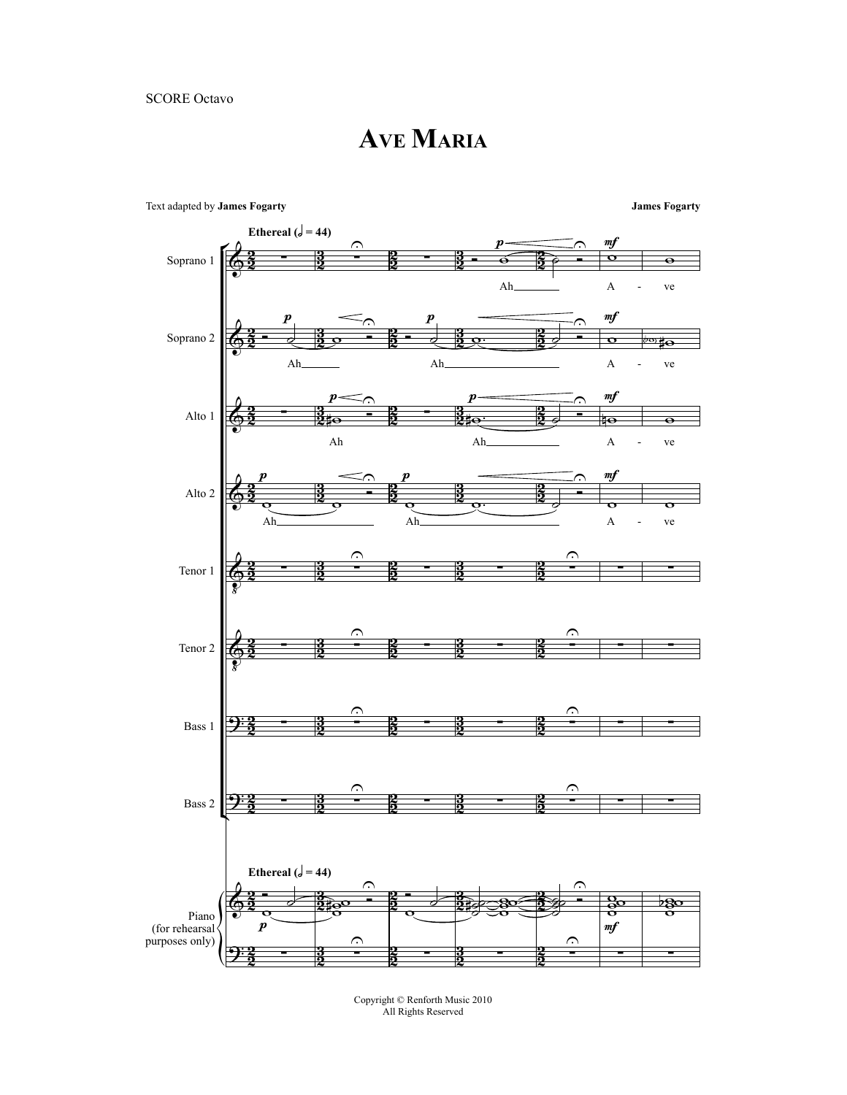**AVE MARIA**



Copyright © Renforth Music 2010 All Rights Reserved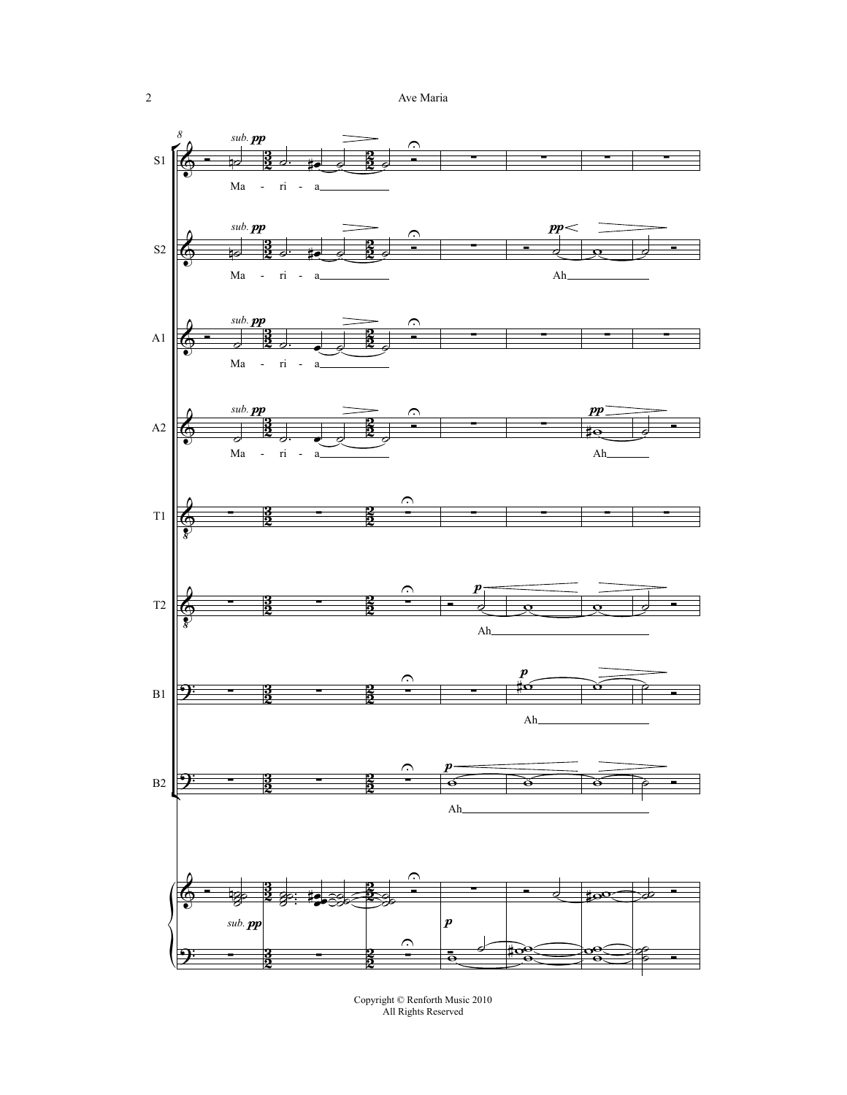2 Ave Maria



Copyright © Renforth Music 2010 All Rights Reserved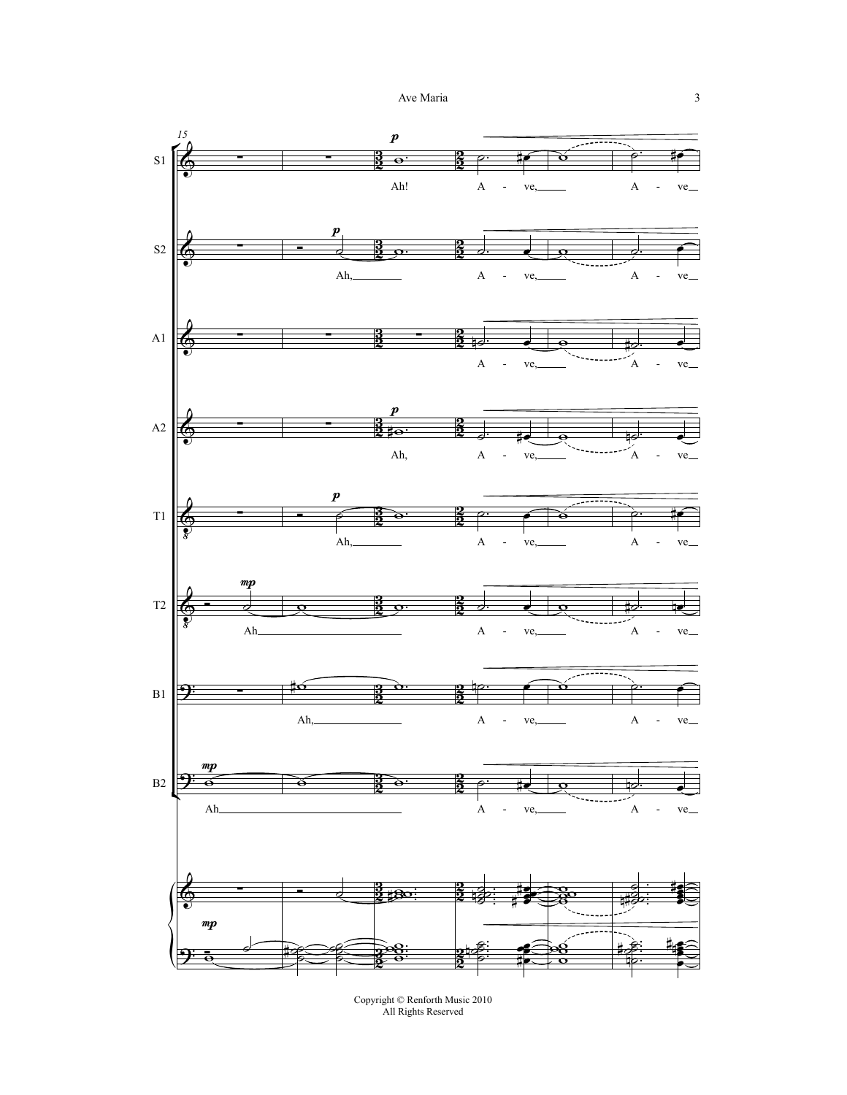

Copyright © Renforth Music 2010 All Rights Reserved